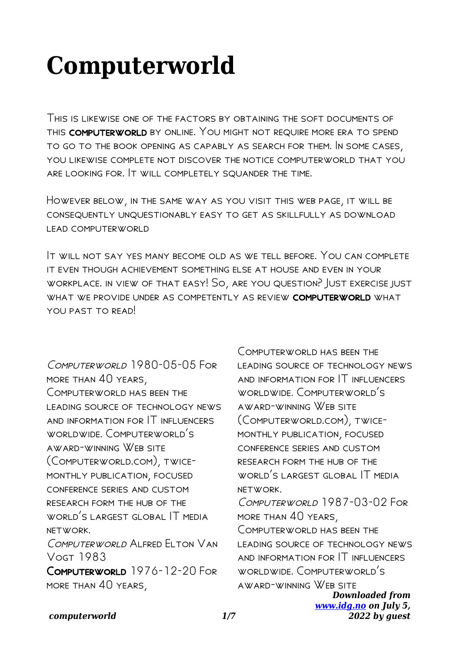# **Computerworld**

This is likewise one of the factors by obtaining the soft documents of this computerworld by online. You might not require more era to spend to go to the book opening as capably as search for them. In some cases, you likewise complete not discover the notice computerworld that you are looking for. It will completely squander the time.

However below, in the same way as you visit this web page, it will be consequently unquestionably easy to get as skillfully as download lead computerworld

It will not say yes many become old as we tell before. You can complete it even though achievement something else at house and even in your workplace. in view of that easy! So, are you question? Just exercise just WHAT WE PROVIDE UNDER AS COMPETENTLY AS REVIEW COMPUTERWORLD WHAT YOU PAST TO READ!

COMPUTERWORLD 1980-05-05 FOR more than 40 years, Computerworld has been the leading source of technology news and information for IT influencers worldwide. Computerworld's award-winning Web site (Computerworld.com), twicemonthly publication, focused conference series and custom research form the hub of the WORLD'S LARGEST GLOBAL IT MEDIA network. Computerworld Alfred Elton Van Vogt 1983 Computerworld 1976-12-20 For more than 40 years,

*Downloaded from [www.idg.no](http://www.idg.no) on July 5,* COMPUTERWORLD HAS BEEN THE leading source of technology news and information for IT influencers worldwide. Computerworld's award-winning Web site (Computerworld.com), twicemonthly publication, focused conference series and custom research form the hub of the WORLD'S LARGEST GLOBAL IT MEDIA network. COMPLITERWORLD 1987-03-02 FOR more than 40 years, COMPUTERWORLD HAS BEEN THE leading source of technology news and information for IT influencers worldwide. Computerworld's award-winning Web site

*2022 by guest*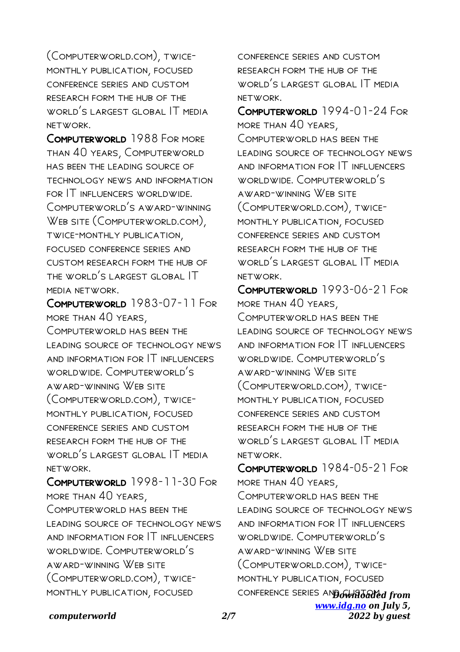(Computerworld.com), twicemonthly publication, focused conference series and custom research form the hub of the WORLD'S LARGEST GLOBAL IT MEDIA network.

Computerworld 1988 For more than 40 years, Computerworld has been the leading source of technology news and information for IT influencers worldwide. Computerworld's award-winning WEB SITE (COMPUTERWORLD.COM), twice-monthly publication, focused conference series and custom research form the hub of the world's largest global IT media network.

Computerworld 1983-07-11 For more than 40 years, COMPUTERWORLD HAS BEEN THE leading source of technology news and information for IT influencers worldwide. Computerworld's award-winning Web site (Computerworld.com), twicemonthly publication, focused conference series and custom research form the hub of the world's largest global IT media network.

Computerworld 1998-11-30 For more than 40 years, Computerworld has been the leading source of technology news and information for IT influencers worldwide. Computerworld's award-winning Web site (Computerworld.com), twicemonthly publication, focused

conference series and custom research form the hub of the WORLD'S LARGEST GLOBAL IT MEDIA network.

Computerworld 1994-01-24 For more than 40 years, COMPLITERWORLD HAS REEN THE leading source of technology news and information for IT influencers worldwide. Computerworld's award-winning Web site (Computerworld.com), twicemonthly publication, focused conference series and custom research form the hub of the world's largest global IT media network.

Computerworld 1993-06-21 For more than 40 years, COMPUTERWORLD HAS BEEN THE leading source of technology news and information for IT influencers worldwide. Computerworld's award-winning Web site (Computerworld.com), twicemonthly publication, focused conference series and custom research form the hub of the world's largest global IT media network.

conference series and **Gwhidaded from** *[www.idg.no](http://www.idg.no) on July 5, 2022 by guest* Computerworld 1984-05-21 For more than 40 years, COMPUTERWORLD HAS BEEN THE leading source of technology news and information for IT influencers worldwide. Computerworld's award-winning Web site (Computerworld.com), twicemonthly publication, focused

# *computerworld 2/7*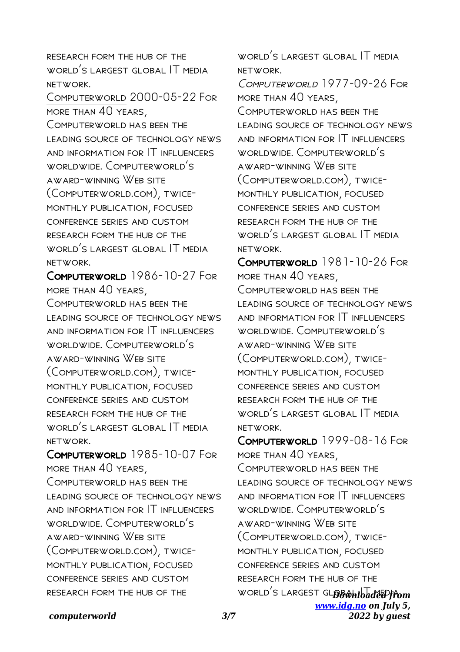research form the hub of the WORLD'S LARGEST GLOBAL IT MEDIA network.

Computerworld 2000-05-22 For more than 40 years,

COMPUTERWORLD HAS BEEN THE leading source of technology news and information for IT influencers worldwide. Computerworld's award-winning Web site (Computerworld.com), twicemonthly publication, focused conference series and custom research form the hub of the world's largest global IT media network.

COMPUTERWORLD 1986-10-27 FOR more than 40 years, Computerworld has been the leading source of technology news and information for IT influencers worldwide. Computerworld's award-winning Web site (Computerworld.com), twicemonthly publication, focused conference series and custom research form the hub of the world's largest global IT media network.

Computerworld 1985-10-07 For more than 40 years, COMPUTERWORLD HAS BEEN THE leading source of technology news and information for IT influencers worldwide. Computerworld's award-winning Web site (Computerworld.com), twicemonthly publication, focused conference series and custom research form the hub of the

WORLD'S LARGEST GLOBAL IT MEDIA network.

COMPUTERWORIN 1977-09-26 FOR more than 40 years, Computerworld has been the leading source of technology news and information for IT influencers worldwide. Computerworld's award-winning Web site (Computerworld.com), twicemonthly publication, focused conference series and custom research form the hub of the world's largest global IT media network.

COMPUTERWORLD 1981-10-26 FOR more than 40 years, COMPLITERWORLD HAS BEEN THE leading source of technology news and information for IT influencers worldwide. Computerworld's award-winning Web site (Computerworld.com), twicemonthly publication, focused conference series and custom research form the hub of the world's largest global IT media network.

WORLD<sup>'</sup>S LARGEST GL**OBWHIDudeEPffom** *[www.idg.no](http://www.idg.no) on July 5,* Computerworld 1999-08-16 For more than 40 years, COMPUTERWORLD HAS BEEN THE leading source of technology news and information for IT influencers worldwide. Computerworld's award-winning Web site (Computerworld.com), twicemonthly publication, focused conference series and custom research form the hub of the

*2022 by guest*

*computerworld 3/7*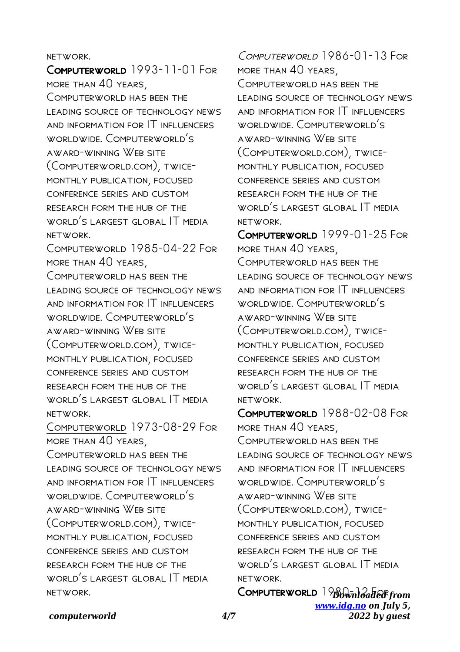## network.

Computerworld 1993-11-01 For more than 40 years, Computerworld has been the leading source of technology news and information for IT influencers worldwide. Computerworld's award-winning Web site (Computerworld.com), twicemonthly publication, focused conference series and custom research form the hub of the world's largest global IT media network.

Computerworld 1985-04-22 For more than 40 years,

COMPUTERWORLD HAS BEEN THE leading source of technology news and information for IT influencers worldwide. Computerworld's award-winning Web site (Computerworld.com), twicemonthly publication, focused conference series and custom research form the hub of the WORLD'S LARGEST GLOBAL IT MEDIA network.

Computerworld 1973-08-29 For more than 40 years,

COMPUTERWORLD HAS BEEN THE leading source of technology news and information for IT influencers worldwide. Computerworld's award-winning Web site (Computerworld.com), twicemonthly publication, focused conference series and custom research form the hub of the world's largest global IT media network.

COMPUTERWORLD 1986-01-13 FOR more than 40 years, COMPLITERWORLD HAS REEN THE leading source of technology news and information for IT influencers worldwide. Computerworld's award-winning Web site (Computerworld.com), twicemonthly publication, focused conference series and custom research form the hub of the world's largest global IT media network.

Computerworld 1999-01-25 For more than 40 years, COMPUTERWORLD HAS BEEN THE leading source of technology news and information for IT influencers worldwide. Computerworld's award-winning Web site (Computerworld.com), twicemonthly publication, focused conference series and custom research form the hub of the world's largest global IT media network.

Computerworld 1988-02-08 For more than 40 years, COMPLITERWORLD HAS REEN THE leading source of technology news and information for IT influencers worldwide. Computerworld's award-winning Web site (Computerworld.com), twicemonthly publication, focused conference series and custom research form the hub of the world's largest global IT media network.

Computerworld 1980-inleaded from *[www.idg.no](http://www.idg.no) on July 5, 2022 by guest*

#### *computerworld 4/7*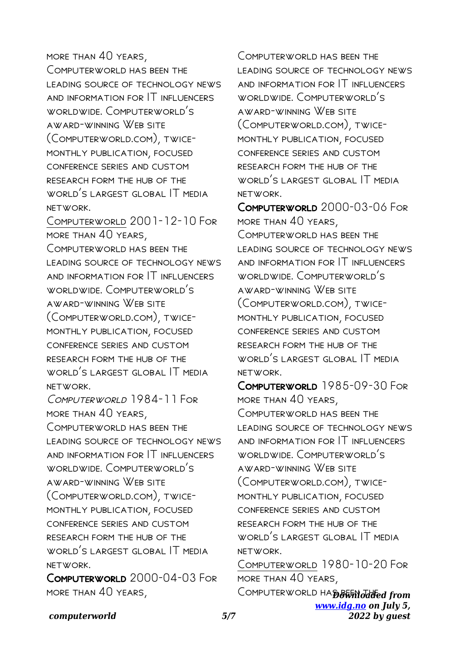# more than 40 years,

Computerworld has been the leading source of technology news and information for IT influencers worldwide. Computerworld's award-winning Web site (Computerworld.com), twicemonthly publication, focused conference series and custom research form the hub of the WORLD'S LARGEST GLOBAL IT MEDIA network.

Computerworld 2001-12-10 For more than 40 years,

Computerworld has been the leading source of technology news and information for IT influencers worldwide. Computerworld's award-winning Web site (Computerworld.com), twicemonthly publication, focused conference series and custom research form the hub of the WORLD'S LARGEST GLOBAL IT MEDIA network.

COMPUTERWORLD 1984-11 FOR more than 40 years,

Computerworld has been the leading source of technology news and information for IT influencers worldwide. Computerworld's award-winning Web site (Computerworld.com), twicemonthly publication, focused conference series and custom research form the hub of the WORLD'S LARGEST GLOBAL IT MEDIA network.

Computerworld 2000-04-03 For more than 40 years,

Computerworld has been the leading source of technology news and information for IT influencers worldwide. Computerworld's award-winning Web site (Computerworld.com), twicemonthly publication, focused conference series and custom research form the hub of the world's largest global IT media network.

Computerworld 2000-03-06 For more than 40 years, COMPUTERWORLD HAS BEEN THE leading source of technology news and information for IT influencers worldwide. Computerworld's award-winning Web site (Computerworld.com), twicemonthly publication, focused conference series and custom research form the hub of the world's largest global IT media network.

Computerworld 1985-09-30 For more than 40 years, Computerworld has been the leading source of technology news and information for IT influencers worldwide. Computerworld's award-winning Web site (Computerworld.com), twicemonthly publication, focused conference series and custom research form the hub of the world's largest global IT media network.

Computerworld 1980-10-20 For more than 40 years,

Computerworld HA**D&Whodded from** *[www.idg.no](http://www.idg.no) on July 5, 2022 by guest*

## *computerworld 5/7*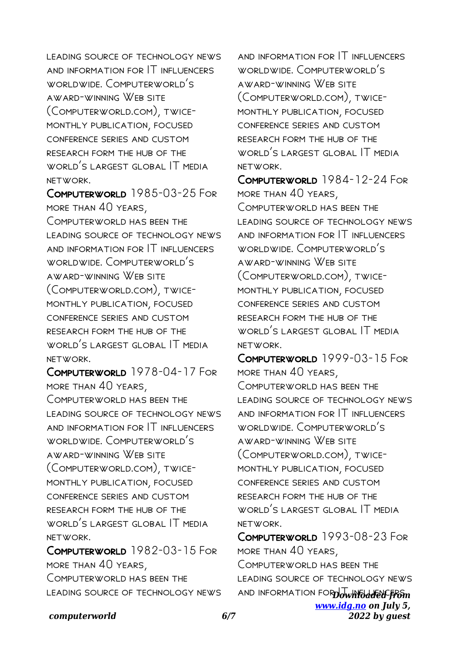LEADING SOURCE OF TECHNOLOGY NEWS and information for IT influencers worldwide. Computerworld's award-winning Web site (Computerworld.com), twicemonthly publication, focused conference series and custom research form the hub of the world's largest global IT media network.

Computerworld 1985-03-25 For more than 40 years, Computerworld has been the leading source of technology news and information for IT influencers worldwide. Computerworld's award-winning Web site (Computerworld.com), twicemonthly publication, focused conference series and custom research form the hub of the WORLD'S LARGEST GLOBAL IT MEDIA network.

Computerworld 1978-04-17 For more than 40 years, COMPUTERWORLD HAS BEEN THE leading source of technology news and information for IT influencers worldwide. Computerworld's award-winning Web site (Computerworld.com), twicemonthly publication, focused conference series and custom research form the hub of the world's largest global IT media network.

Computerworld 1982-03-15 For more than 40 years, Computerworld has been the leading source of technology news

and information for IT influencers worldwide. Computerworld's award-winning Web site (Computerworld.com), twicemonthly publication, focused conference series and custom research form the hub of the world's largest global IT media network.

COMPUTERWORLD 1984-12-24 FOR more than 40 years, Computerworld has been the leading source of technology news and information for IT influencers worldwide. Computerworld's award-winning Web site (Computerworld.com), twicemonthly publication, focused conference series and custom research form the hub of the world's largest global IT media network.

Computerworld 1999-03-15 For more than 40 years, COMPLITERWORLD HAS REEN THE leading source of technology news and information for IT influencers worldwide. Computerworld's award-winning Web site (Computerworld.com), twicemonthly publication, focused conference series and custom research form the hub of the world's largest global IT media network.

**AND INFORMATION FOR Downloaded from** *[www.idg.no](http://www.idg.no) on July 5, 2022 by guest* Computerworld 1993-08-23 For more than 40 years, Computerworld has been the leading source of technology news

## *computerworld 6/7*